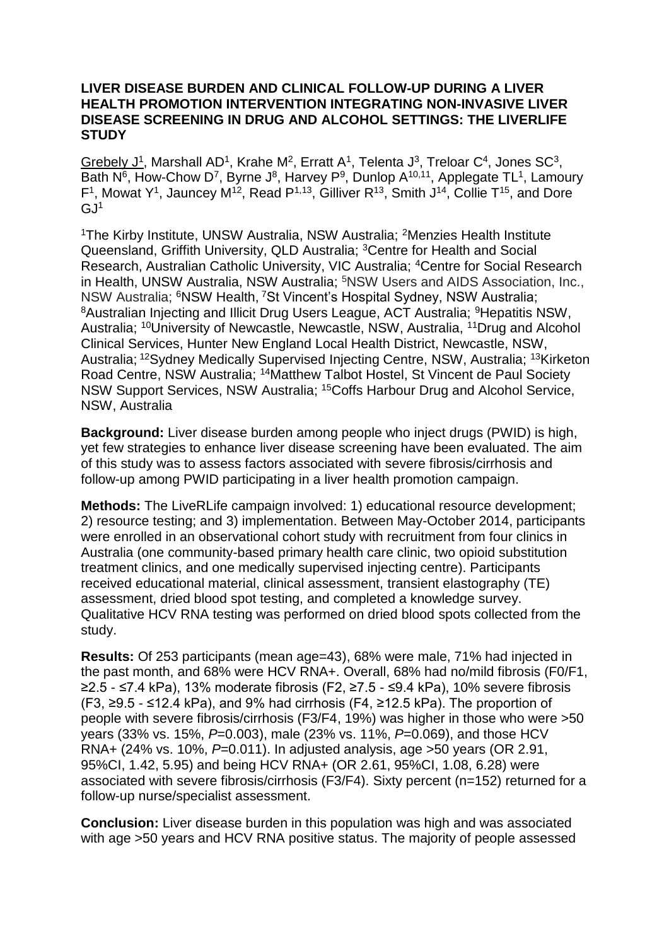## **LIVER DISEASE BURDEN AND CLINICAL FOLLOW-UP DURING A LIVER HEALTH PROMOTION INTERVENTION INTEGRATING NON-INVASIVE LIVER DISEASE SCREENING IN DRUG AND ALCOHOL SETTINGS: THE LIVERLIFE STUDY**

Grebely  $J^1$ , Marshall AD<sup>1</sup>, Krahe M<sup>2</sup>, Erratt A<sup>1</sup>, Telenta J<sup>3</sup>, Treloar C<sup>4</sup>, Jones SC<sup>3</sup>, Bath  $N^6$ , How-Chow D<sup>7</sup>, Byrne J<sup>8</sup>, Harvey P<sup>9</sup>, Dunlop A<sup>10,11</sup>, Applegate TL<sup>1</sup>, Lamoury  $F<sup>1</sup>$ , Mowat Y<sup>1</sup>, Jauncey M<sup>12</sup>, Read P<sup>1,13</sup>, Gilliver R<sup>13</sup>, Smith J<sup>14</sup>, Collie T<sup>15</sup>, and Dore  $GJ<sup>1</sup>$ 

<sup>1</sup>The Kirby Institute, UNSW Australia, NSW Australia; <sup>2</sup>Menzies Health Institute Queensland, Griffith University, QLD Australia; <sup>3</sup>Centre for Health and Social Research, Australian Catholic University, VIC Australia; <sup>4</sup>Centre for Social Research in Health, UNSW Australia, NSW Australia; <sup>5</sup>NSW Users and AIDS Association, Inc., NSW Australia; <sup>6</sup>NSW Health, <sup>7</sup>St Vincent's Hospital Sydney, NSW Australia; <sup>8</sup> Australian Injecting and Illicit Drug Users League, ACT Australia; <sup>9</sup> Hepatitis NSW, Australia; <sup>10</sup>University of Newcastle, Newcastle, NSW, Australia, <sup>11</sup>Drug and Alcohol Clinical Services, Hunter New England Local Health District, Newcastle, NSW, Australia; <sup>12</sup>Sydney Medically Supervised Injecting Centre, NSW, Australia; <sup>13</sup>Kirketon Road Centre, NSW Australia; <sup>14</sup>Matthew Talbot Hostel, St Vincent de Paul Society NSW Support Services, NSW Australia; <sup>15</sup>Coffs Harbour Drug and Alcohol Service, NSW, Australia

**Background:** Liver disease burden among people who inject drugs (PWID) is high, yet few strategies to enhance liver disease screening have been evaluated. The aim of this study was to assess factors associated with severe fibrosis/cirrhosis and follow-up among PWID participating in a liver health promotion campaign.

**Methods:** The LiveRLife campaign involved: 1) educational resource development; 2) resource testing; and 3) implementation. Between May-October 2014, participants were enrolled in an observational cohort study with recruitment from four clinics in Australia (one community-based primary health care clinic, two opioid substitution treatment clinics, and one medically supervised injecting centre). Participants received educational material, clinical assessment, transient elastography (TE) assessment, dried blood spot testing, and completed a knowledge survey. Qualitative HCV RNA testing was performed on dried blood spots collected from the study.

**Results:** Of 253 participants (mean age=43), 68% were male, 71% had injected in the past month, and 68% were HCV RNA+. Overall, 68% had no/mild fibrosis (F0/F1, ≥2.5 - ≤7.4 kPa), 13% moderate fibrosis (F2, ≥7.5 - ≤9.4 kPa), 10% severe fibrosis (F3, ≥9.5 - ≤12.4 kPa), and 9% had cirrhosis (F4, ≥12.5 kPa). The proportion of people with severe fibrosis/cirrhosis (F3/F4, 19%) was higher in those who were >50 years (33% vs. 15%, *P*=0.003), male (23% vs. 11%, *P*=0.069), and those HCV RNA+ (24% vs. 10%, *P*=0.011). In adjusted analysis, age >50 years (OR 2.91, 95%CI, 1.42, 5.95) and being HCV RNA+ (OR 2.61, 95%CI, 1.08, 6.28) were associated with severe fibrosis/cirrhosis (F3/F4). Sixty percent (n=152) returned for a follow-up nurse/specialist assessment.

**Conclusion:** Liver disease burden in this population was high and was associated with age >50 years and HCV RNA positive status. The majority of people assessed